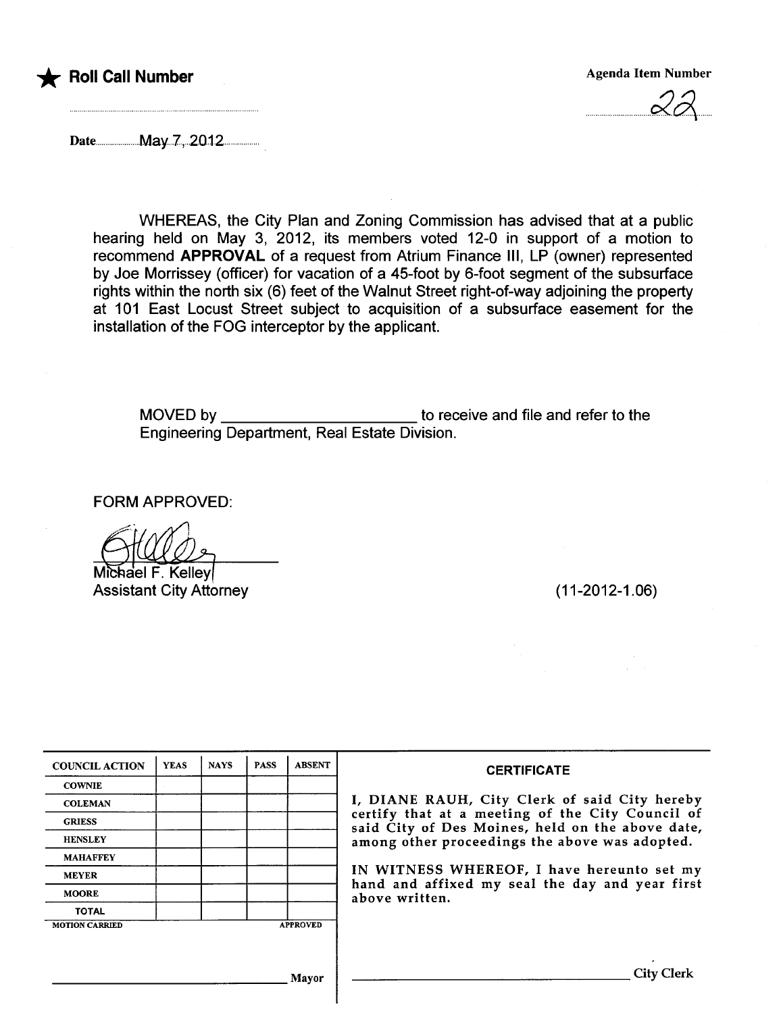



 $rac{\alpha}{\alpha}$ 

Datenn...n......n....May.7,..2012n...

WHEREAS, the City Plan and Zoning Commission has advised that at a public hearing held on May 3, 2012, its members voted 12-0 in support of a motion to recommend APPROVAL of a request from Atrium Finance IIi, LP (owner) represented by Joe Morrissey (officer) for vacation of a 45-foot by 6-foot segment of the subsurface rights within the north six (6) feet of the Walnut Street right-of-way adjoining the property at 101 East Locust Street subject to acquisition of a subsurface easement for the installation of the FOG interceptor by the applicant.

MOVED by to receive and file and refer to the Engineering Department, Real Estate Division.

FORM APPROVED:

Michael F. Kelley **Assistant City Attorney** 

(11-2012-1.06)

| <b>COUNCIL ACTION</b> | <b>YEAS</b> | <b>NAYS</b> | <b>PASS</b> | <b>ABSENT</b>   | <b>CERTIFICATE</b>                                                                                   |
|-----------------------|-------------|-------------|-------------|-----------------|------------------------------------------------------------------------------------------------------|
| <b>COWNIE</b>         |             |             |             |                 |                                                                                                      |
| <b>COLEMAN</b>        |             |             |             |                 | I, DIANE RAUH, City Clerk of said City hereby                                                        |
| <b>GRIESS</b>         |             |             |             |                 | certify that at a meeting of the City Council of<br>said City of Des Moines, held on the above date, |
| <b>HENSLEY</b>        |             |             |             |                 | among other proceedings the above was adopted.                                                       |
| <b>MAHAFFEY</b>       |             |             |             |                 |                                                                                                      |
| <b>MEYER</b>          |             |             |             |                 | IN WITNESS WHEREOF, I have hereunto set my<br>hand and affixed my seal the day and year first        |
| <b>MOORE</b>          |             |             |             |                 | above written.                                                                                       |
| <b>TOTAL</b>          |             |             |             |                 |                                                                                                      |
| <b>MOTION CARRIED</b> |             |             |             | <b>APPROVED</b> |                                                                                                      |
|                       |             |             |             |                 |                                                                                                      |
|                       |             |             |             |                 |                                                                                                      |
|                       |             |             |             | Mayor           | Lity                                                                                                 |
|                       |             |             |             |                 |                                                                                                      |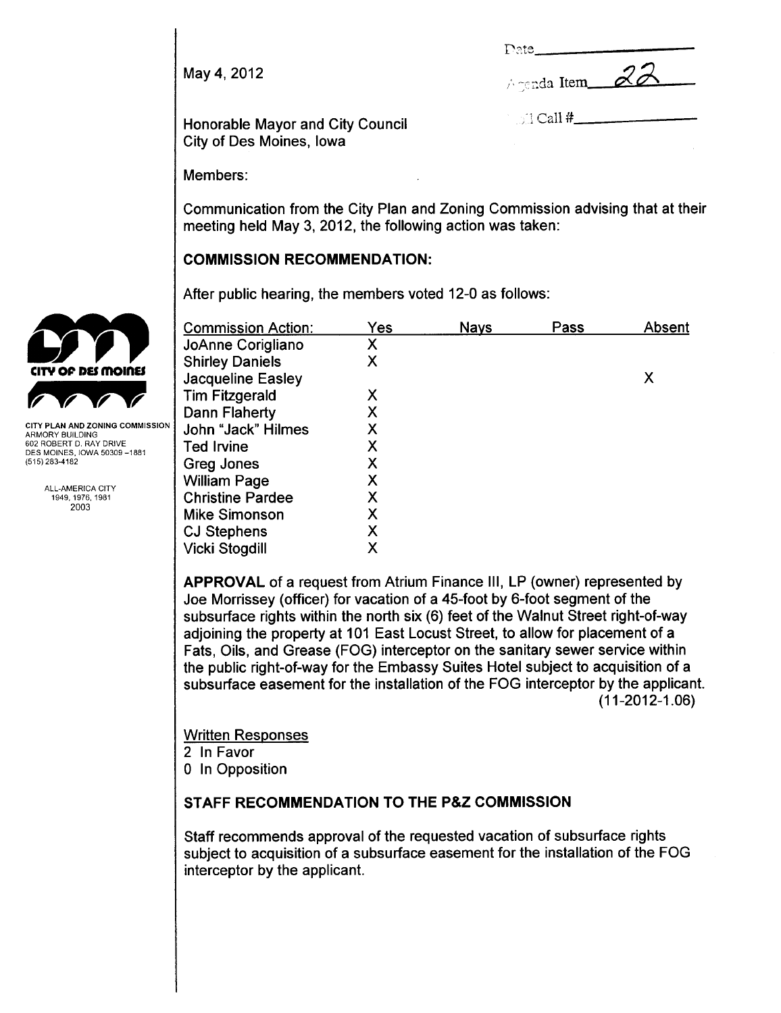May 4,2012

| L'AIC.         |  |
|----------------|--|
| Agenda Item 22 |  |

Call #

Honorable Mayor and City Council City of Des Moines, Iowa

Members:

Communication from the City Plan and Zoning Commission advising that at their meeting held May 3, 2012, the following action was taken:

## COMMISSION RECOMMENDATION:

After public hearing, the members voted 12-0 as follows:

|                                                        | <b>Commission Action:</b> | Yes | <b>Nays</b> | Pass | Absent |
|--------------------------------------------------------|---------------------------|-----|-------------|------|--------|
|                                                        | JoAnne Corigliano         | Χ   |             |      |        |
|                                                        | <b>Shirley Daniels</b>    | X   |             |      |        |
| <b>CITY OF DES MOINES</b>                              | <b>Jacqueline Easley</b>  |     |             |      | Χ      |
|                                                        | <b>Tim Fitzgerald</b>     | Х   |             |      |        |
|                                                        | Dann Flaherty             | Χ   |             |      |        |
| CITY PLAN AND ZONING COMMISSION<br>ARMORY BUILDING     | John "Jack" Hilmes        |     |             |      |        |
| 602 ROBERT D. RAY DRIVE<br>DES MOINES, IOWA 50309-1881 | Ted Irvine                |     |             |      |        |
| (515) 283-4182                                         | Greg Jones                |     |             |      |        |
| ALL-AMERICA CITY                                       | <b>William Page</b>       |     |             |      |        |
| 1949, 1976, 1981                                       | <b>Christine Pardee</b>   |     |             |      |        |
| 2003                                                   | <b>Mike Simonson</b>      | X   |             |      |        |
|                                                        | <b>CJ Stephens</b>        | X   |             |      |        |
|                                                        | <b>Vicki Stogdill</b>     | X   |             |      |        |

APPROVAL of a request from Atrium Finance III, LP (owner) represented by Joe Morrissey (officer) for vacation of a 45-foot by 6-foot segment of the subsurface rights within the north six (6) feet of the Walnut Street right-of-way adjoining the property at 101 East Locust Street, to allow for placement of a Fats, Oils, and Grease (FOG) interceptor on the sanitary sewer service within the public right-of-way for the Embassy Suites Hotel subject to acquisition of a subsurface easement for the installation of the FOG interceptor by the applicant. (11-2012-1.06)

Written Responses 2 In Favor 0 In Opposition

# STAFF RECOMMENDATION TO THE P&Z COMMISSION

Staff recommends approval of the requested vacation of subsurface rights subject to acquisition of a subsurface easement for the installation of the FOG interceptor by the applicant.

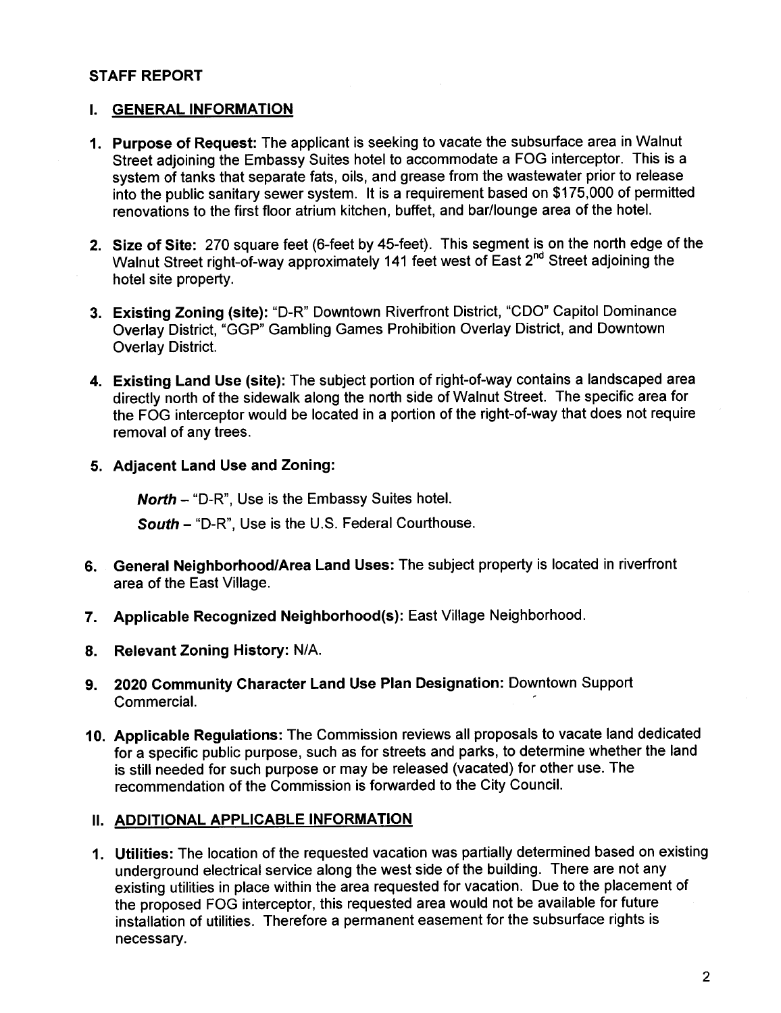### STAFF REPORT

#### I. GENERAL INFORMATION

- 1. Purpose of Request: The applicant is seeking to vacate the subsurface area in Walnut Street adjoining the Embassy Suites hotel to accommodate a FOG interceptor. This is a system of tanks that separate fats, oils, and grease from the wastewater prior to release into the public sanitary sewer system. It is a requirement based on \$175,000 of permitted renovations to the first floor atrium kitchen, buffet, and bar/lounge area of the hoteL.
- 2. Size of Site: 270 square feet (6-feet by 45-feet). This segment is on the north edge of the Walnut Street right-of-way approximately 141 feet west of East 2<sup>nd</sup> Street adjoining the hotel site property.
- 3. Existing Zoning (site): "D-R" Downtown Riverfront District, "CDO" Capitol Dominance Overlay District, "GGP" Gambling Games Prohibition Overlay District, and Downtown Overlay District.
- 4. Existing Land Use (site): The subject portion of right-of-way contains a landscaped area directly north of the sidewalk along the north side of Walnut Street. The specific area for the FOG interceptor would be located in a portion of the right-of-way that does not require removal of any trees.
- 5. Adjacent Land Use and Zoning:

North - "D-R". Use is the Embassy Suites hotel.

South - "D-R", Use is the U.S. Federal Courthouse.

- 6. General Neighborhood/Area Land Uses: The subject property is located in riverfront area of the East Vilage.
- 7. Applicable Recognized Neighborhood(s): East Village Neighborhood.
- 8. Relevant Zoning History: N/A.
- 9. 2020 Community Character Land Use Plan Designation: Downtown Support CommerciaL.
- 10. Applicable Regulations: The Commission reviews all proposals to vacate land dedicated for a specific public purpose, such as for streets and parks, to determine whether the land is still needed for such purpose or may be released (vacated) for other use. The recommendation of the Commission is forwarded to the City CounciL.

### II. ADDITIONAL APPLICABLE INFORMATION

1. Utilities: The location of the requested vacation was partially determined based on existing underground electrical service along the west side of the building. There are not any existing utilities in place within the area requested for vacation. Due to the placement of the proposed FOG interceptor, this requested area would not be available for future installation of utilities. Therefore a permanent easement for the subsurface rights is necessary.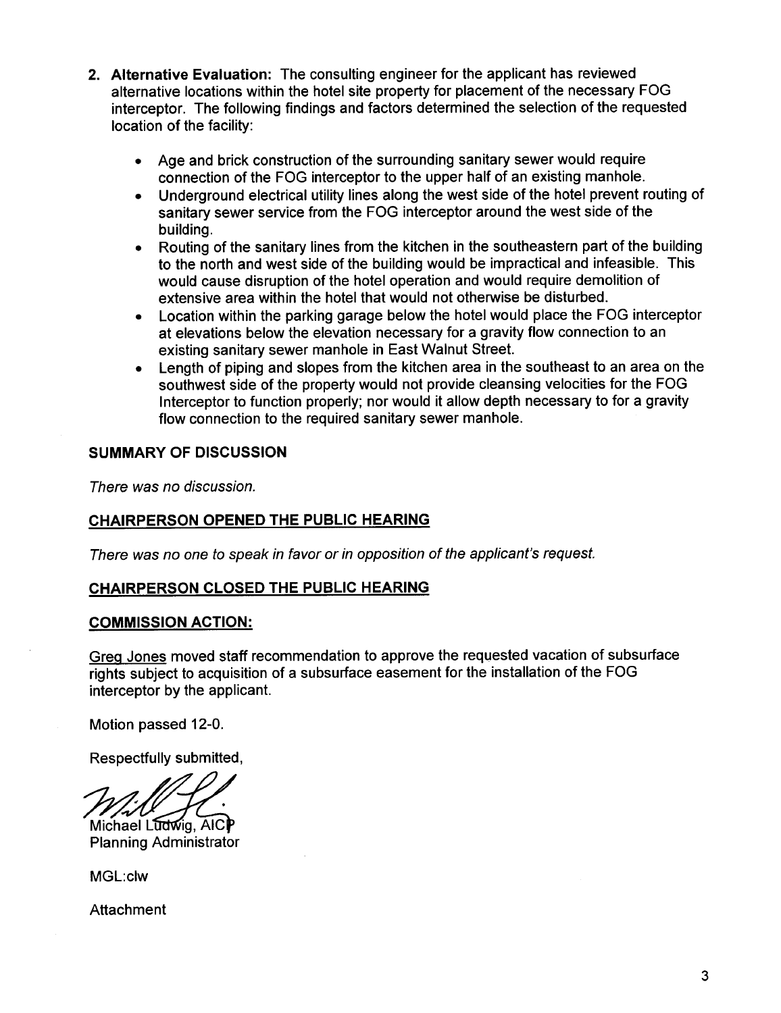- 2. Alternative Evaluation: The consulting engineer for the applicant has reviewed alternative locations within the hotel site property for placement of the necessary FOG interceptor. The following findings and factors determined the selection of the requested location of the facility:
	- . Age and brick construction of the surrounding sanitary sewer would require connection of the FOG interceptor to the upper half of an existing manhole.
	- . Underground electrical utility lines along the west side of the hotel prevent routing of sanitary sewer service from the FOG interceptor around the west side of the building.
	- . Routing of the sanitary lines from the kitchen in the southeastern part of the building to the north and west side of the building would be impractical and infeasible. This would cause disruption of the hotel operation and would require demolition of extensive area within the hotel that would not otherwise be disturbed.
	- . Location within the parking garage below the hotel would place the FOG interceptor at elevations below the elevation necessary for a gravity flow connection to an existing sanitary sewer manhole in East Walnut Street.
	- . Length of piping and slopes from the kitchen area in the southeast to an area on the southwest side of the property would not provide cleansing velocities for the FOG Interceptor to function properly; nor would it allow depth necessary to for a gravity flow connection to the required sanitary sewer manhole.

# SUMMARY OF DISCUSSION

There was no discussion.

# CHAIRPERSON OPENED THE PUBLIC HEARING

There was no one to speak in favor or in opposition of the applicant's request.

## CHAIRPERSON CLOSED THE PUBLIC HEARING

## COMMISSION ACTION:

Grea Jones moved staff recommendation to approve the requested vacation of subsurface rights subject to acquisition of a subsurface easement for the installation of the FOG interceptor by the applicant.

Motion passed 12-0.

Respectfully submitted,

Michael Ludwig, AICP Planning Administrator

MGL:clw

Attachment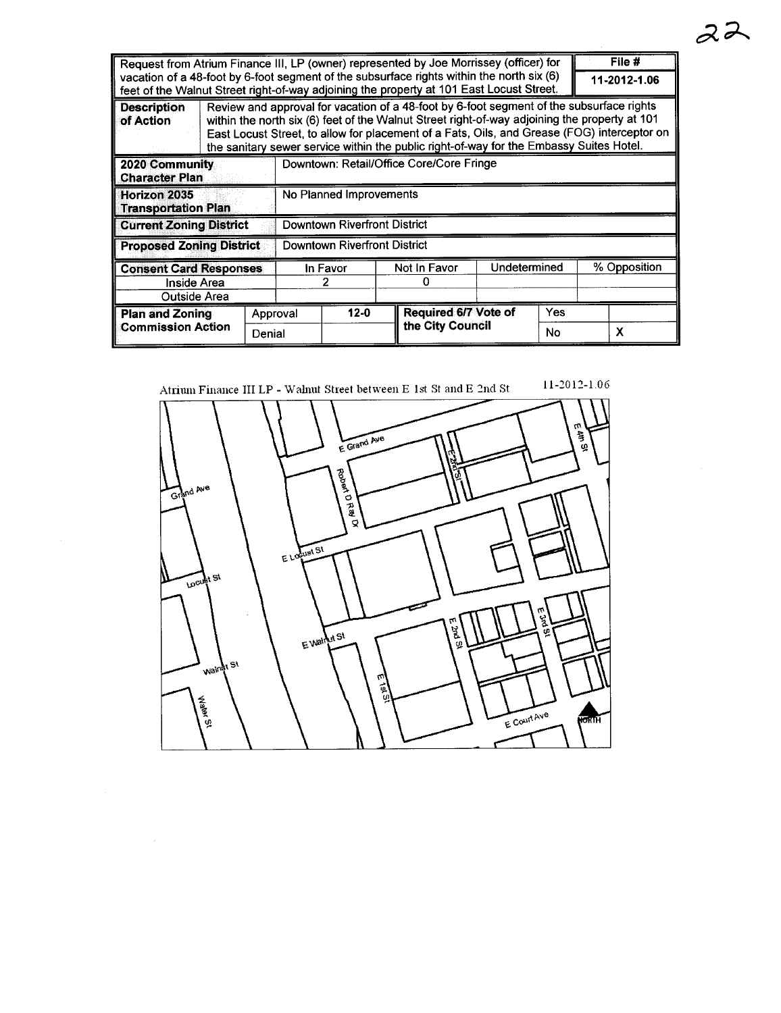| Request from Atrium Finance III, LP (owner) represented by Joe Morrissey (officer) for                                                                                                |                                                                                                                                                                                                                                                                                                                                                                                     |  |                                          |  |              |                      |              | File # |              |   |
|---------------------------------------------------------------------------------------------------------------------------------------------------------------------------------------|-------------------------------------------------------------------------------------------------------------------------------------------------------------------------------------------------------------------------------------------------------------------------------------------------------------------------------------------------------------------------------------|--|------------------------------------------|--|--------------|----------------------|--------------|--------|--------------|---|
| vacation of a 48-foot by 6-foot segment of the subsurface rights within the north six (6)<br>feet of the Walnut Street right-of-way adjoining the property at 101 East Locust Street. |                                                                                                                                                                                                                                                                                                                                                                                     |  |                                          |  |              |                      | 11-2012-1.06 |        |              |   |
| <b>Description</b><br>of Action                                                                                                                                                       | Review and approval for vacation of a 48-foot by 6-foot segment of the subsurface rights<br>within the north six (6) feet of the Walnut Street right-of-way adjoining the property at 101<br>East Locust Street, to allow for placement of a Fats, Oils, and Grease (FOG) interceptor on<br>the sanitary sewer service within the public right-of-way for the Embassy Suites Hotel. |  |                                          |  |              |                      |              |        |              |   |
| 2020 Community<br><b>Character Plan</b>                                                                                                                                               |                                                                                                                                                                                                                                                                                                                                                                                     |  | Downtown: Retail/Office Core/Core Fringe |  |              |                      |              |        |              |   |
| Horizon 2035<br><b>Transportation Plan</b>                                                                                                                                            |                                                                                                                                                                                                                                                                                                                                                                                     |  | No Planned Improvements                  |  |              |                      |              |        |              |   |
| <b>Current Zoning District</b>                                                                                                                                                        |                                                                                                                                                                                                                                                                                                                                                                                     |  | Downtown Riverfront District             |  |              |                      |              |        |              |   |
| <b>Proposed Zoning District</b>                                                                                                                                                       |                                                                                                                                                                                                                                                                                                                                                                                     |  | <b>Downtown Riverfront District</b>      |  |              |                      |              |        |              |   |
| <b>Consent Card Responses</b>                                                                                                                                                         |                                                                                                                                                                                                                                                                                                                                                                                     |  | In Favor                                 |  | Not In Favor |                      | Undetermined |        | % Opposition |   |
| Inside Area<br>Outside Area                                                                                                                                                           |                                                                                                                                                                                                                                                                                                                                                                                     |  |                                          |  |              |                      |              |        |              |   |
| <b>Plan and Zoning</b>                                                                                                                                                                | Denial                                                                                                                                                                                                                                                                                                                                                                              |  | $12-0$<br>Approval                       |  |              | Required 6/7 Vote of |              | Yes    |              |   |
| Commission Action                                                                                                                                                                     |                                                                                                                                                                                                                                                                                                                                                                                     |  |                                          |  |              | the City Council     |              | No     |              | x |



Atrium Finance III LP - Walnut Street between E 1st St and E  $2nd$  St

 $11-2012-1.06$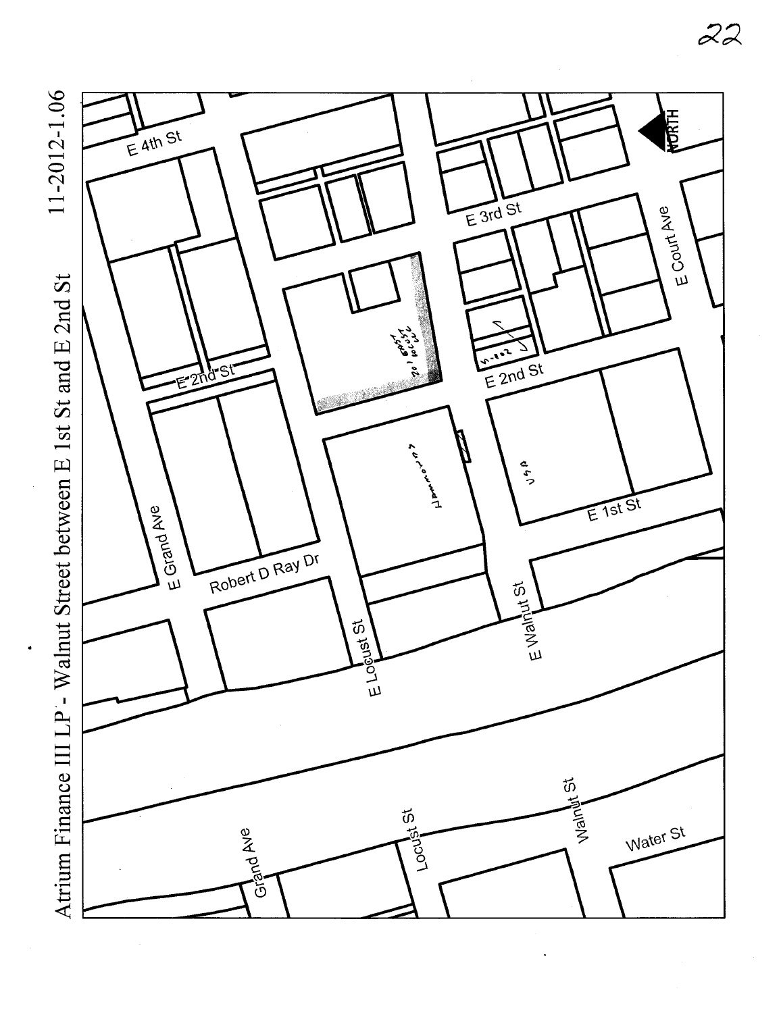